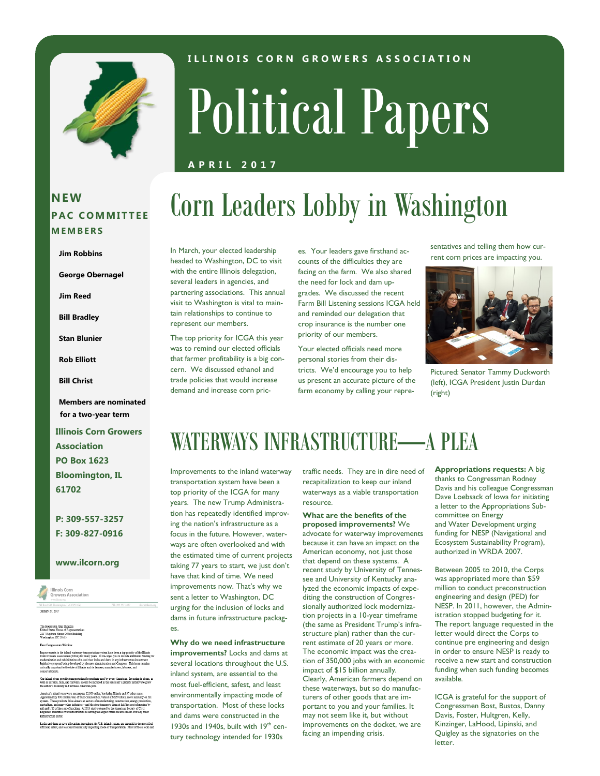

### **I L L I N O I S C O R N G R O W E R S A S S O C I A T I O N**

# Political Papers

Corn Leaders Lobby in Washington

### **A P R I L 2 0 1 7**

### **NEW P A C C O M M I T T E E M E M B E R S**

#### **Jim Robbins**

**George Obernagel**

**Jim Reed**

**Bill Bradley**

**Stan Blunier**

**Rob Elliott**

**Bill Christ**

**Members are nominated for a two-year term**

**Illinois Corn Growers Association PO Box 1623 Bloomington, IL 61702**

**P: 309-557-3257 F: 309-827-0916**

#### **www.ilcorn.org**



Locks and dams at several locations throughout the U.S. inland system, are essential to the most fuel<br>efficient, safest, and least environmentally impacting mode of transportation. Most of these locks an

In March, your elected leadership headed to Washington, DC to visit with the entire Illinois delegation, several leaders in agencies, and partnering associations. This annual visit to Washington is vital to maintain relationships to continue to represent our members.

The top priority for ICGA this year was to remind our elected officials that farmer profitability is a big concern. We discussed ethanol and trade policies that would increase demand and increase corn prices. Your leaders gave firsthand accounts of the difficulties they are facing on the farm. We also shared the need for lock and dam upgrades. We discussed the recent Farm Bill Listening sessions ICGA held and reminded our delegation that crop insurance is the number one priority of our members.

Your elected officials need more personal stories from their districts. We'd encourage you to help us present an accurate picture of the farm economy by calling your representatives and telling them how current corn prices are impacting you.



Pictured: Senator Tammy Duckworth (left), ICGA President Justin Durdan (right)

### WATERWAYS INFRASTRUCTURE—A PLEA

Improvements to the inland waterway transportation system have been a top priority of the ICGA for many years. The new Trump Administration has repeatedly identified improving the nation's infrastructure as a focus in the future. However, waterways are often overlooked and with the estimated time of current projects taking 77 years to start, we just don't have that kind of time. We need improvements now. That's why we sent a letter to Washington, DC urging for the inclusion of locks and dams in future infrastructure packages.

**Why do we need infrastructure improvements?** Locks and dams at several locations throughout the U.S. inland system, are essential to the most fuel-efficient, safest, and least environmentally impacting mode of transportation. Most of these locks and dams were constructed in the 1930s and 1940s, built with 19<sup>th</sup> century technology intended for 1930s

traffic needs. They are in dire need of recapitalization to keep our inland waterways as a viable transportation resource.

**What are the benefits of the proposed improvements?** We advocate for waterway improvements because it can have an impact on the American economy, not just those that depend on these systems. A recent study by University of Tennessee and University of Kentucky analyzed the economic impacts of expediting the construction of Congressionally authorized lock modernization projects in a 10-year timeframe (the same as President Trump's infrastructure plan) rather than the current estimate of 20 years or more. The economic impact was the creation of 350,000 jobs with an economic impact of \$15 billion annually. Clearly, American farmers depend on these waterways, but so do manufacturers of other goods that are important to you and your families. It may not seem like it, but without improvements on the docket, we are facing an impending crisis.

**Appropriations requests:** A big thanks to Congressman Rodney Davis and his colleague Congressman Dave Loebsack of Iowa for initiating a letter to the Appropriations Subcommittee on Energy and Water Development urging funding for NESP (Navigational and Ecosystem Sustainability Program), authorized in WRDA 2007.

Between 2005 to 2010, the Corps was appropriated more than \$59 million to conduct preconstruction engineering and design (PED) for NESP. In 2011, however, the Administration stopped budgeting for it. The report language requested in the letter would direct the Corps to continue pre engineering and design in order to ensure NESP is ready to receive a new start and construction funding when such funding becomes available.

ICGA is grateful for the support of Congressmen Bost, Bustos, Danny Davis, Foster, Hultgren, Kelly, Kinzinger, LaHood, Lipinski, and Quigley as the signatories on the letter.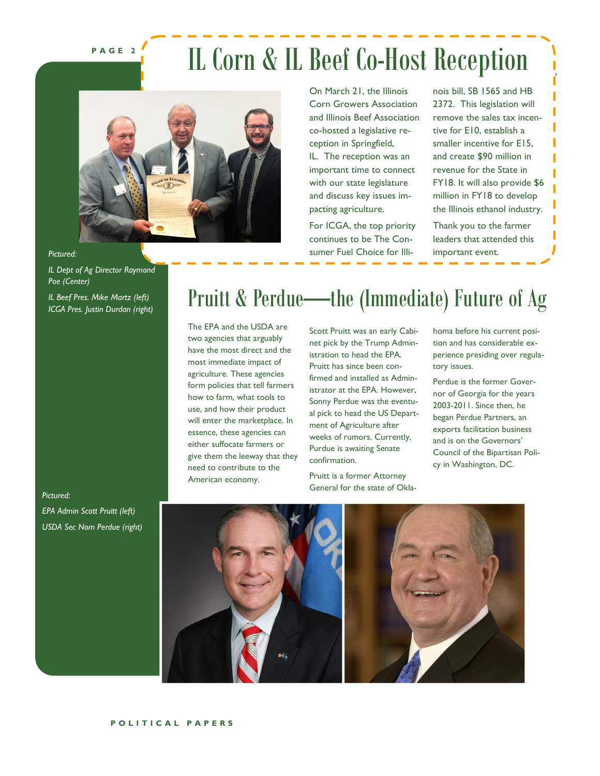**P A G E 2**

### IL Corn & IL Beef Co-Host Reception



On March 21, the Illinois Corn Growers Association and Illinois Beef Association co-hosted a legislative reception in Springfield, IL. The reception was an important time to connect with our state legislature and discuss key issues impacting agriculture.

For ICGA, the top priority continues to be The Consumer Fuel Choice for Illinois bill, SB 1565 and HB 2372. This legislation will remove the sales tax incentive for E10, establish a smaller incentive for E15, and create \$90 million in revenue for the State in FY18. It will also provide \$6 million in FY18 to develop the Illinois ethanol industry.

Thank you to the farmer leaders that attended this important event.

#### *Pictured:*

*IL Dept of Ag Director Raymond Poe (Center)*

*IL Beef Pres. Mike Martz (left) ICGA Pres. Justin Durdan (right)*

### Pruitt & Perdue—the (Immediate) Future of Ag

The EPA and the USDA are two agencies that arguably have the most direct and the most immediate impact of agriculture. These agencies form policies that tell farmers how to farm, what tools to use, and how their product will enter the marketplace. In essence, these agencies can either suffocate farmers or give them the leeway that they need to contribute to the American economy.

Scott Pruitt was an early Cabinet pick by the Trump Administration to head the EPA. Pruitt has since been confirmed and installed as Administrator at the EPA. However, Sonny Perdue was the eventual pick to head the US Department of Agriculture after weeks of rumors. Currently, Purdue is awaiting Senate confirmation.

Pruitt is a former Attorney General for the state of Oklahoma before his current position and has considerable experience presiding over regulatory issues.

Perdue is the former Governor of Georgia for the years 2003-2011. Since then, he began Perdue Partners, an exports facilitation business and is on the Governors' Council of the Bipartisan Policy in Washington, DC.

### *Pictured:*

*EPA Admin Scott Pruitt (left) USDA Sec Nom Perdue (right)*



### **P O L I T I C A L P A P E R S**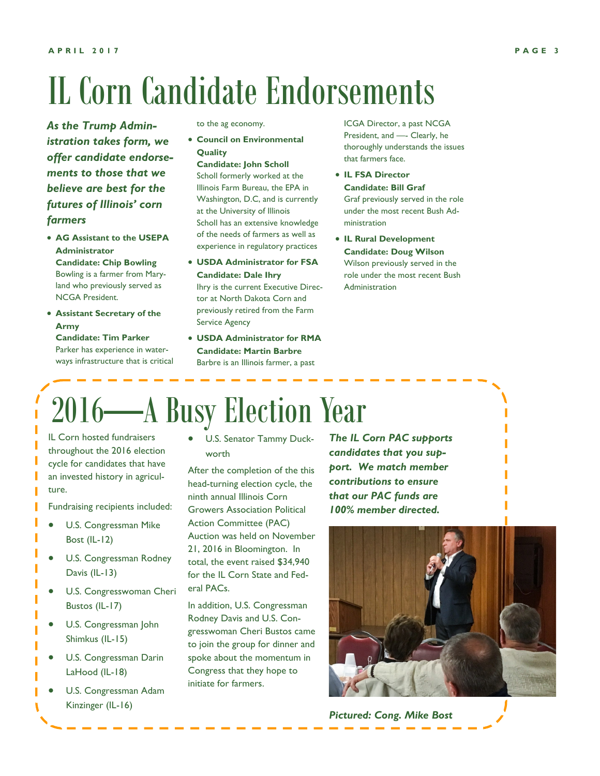# IL Corn Candidate Endorsements

*As the Trump Administration takes form, we offer candidate endorsements to those that we believe are best for the futures of Illinois' corn farmers*

- **AG Assistant to the USEPA Administrator Candidate: Chip Bowling** Bowling is a farmer from Maryland who previously served as
- NCGA President. • **Assistant Secretary of the Army**

**Candidate: Tim Parker** Parker has experience in waterways infrastructure that is critical to the ag economy.

- **Council on Environmental Quality**
	- **Candidate: John Scholl**

Scholl formerly worked at the Illinois Farm Bureau, the EPA in Washington, D.C, and is currently at the University of Illinois Scholl has an extensive knowledge of the needs of farmers as well as experience in regulatory practices

- **USDA Administrator for FSA Candidate: Dale Ihry** Ihry is the current Executive Director at North Dakota Corn and previously retired from the Farm
- **USDA Administrator for RMA Candidate: Martin Barbre** Barbre is an Illinois farmer, a past

Service Agency

ICGA Director, a past NCGA President, and —- Clearly, he thoroughly understands the issues that farmers face.

- **IL FSA Director Candidate: Bill Graf** Graf previously served in the role under the most recent Bush Administration
- **IL Rural Development Candidate: Doug Wilson** Wilson previously served in the role under the most recent Bush Administration

## 2016—A Busy Election Year

IL Corn hosted fundraisers throughout the 2016 election cycle for candidates that have an invested history in agriculture.

Fundraising recipients included:

- U.S. Congressman Mike Bost (IL-12)
- U.S. Congressman Rodney Davis (IL-13)
- U.S. Congresswoman Cheri Bustos (IL-17)
- U.S. Congressman John Shimkus (IL-15)
- U.S. Congressman Darin LaHood (IL-18)
- U.S. Congressman Adam Kinzinger (IL-16)

• U.S. Senator Tammy Duckworth

After the completion of the this head-turning election cycle, the ninth annual Illinois Corn Growers Association Political Action Committee (PAC) Auction was held on November 21, 2016 in Bloomington. In total, the event raised \$34,940 for the IL Corn State and Federal PACs.

In addition, U.S. Congressman Rodney Davis and U.S. Congresswoman Cheri Bustos came to join the group for dinner and spoke about the momentum in Congress that they hope to initiate for farmers.

*The IL Corn PAC supports candidates that you support. We match member contributions to ensure that our PAC funds are 100% member directed.*



*Pictured: Cong. Mike Bost*